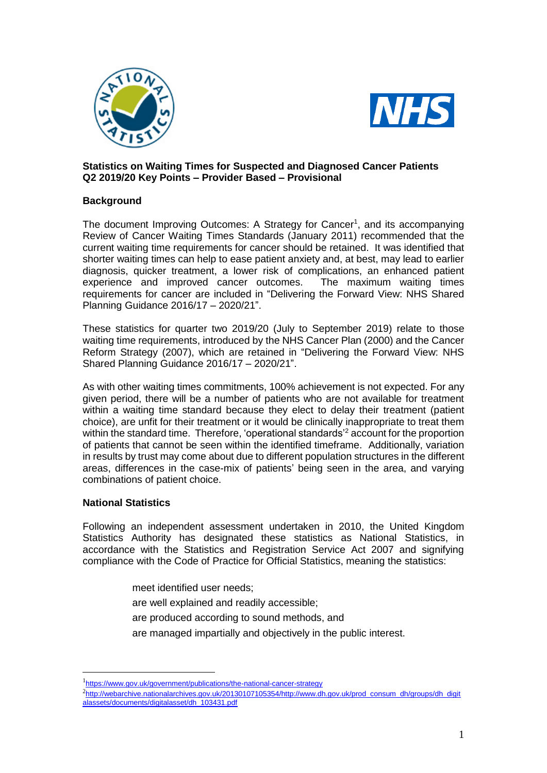



## **Statistics on Waiting Times for Suspected and Diagnosed Cancer Patients Q2 2019/20 Key Points – Provider Based – Provisional**

## **Background**

The document Improving Outcomes: A Strategy for Cancer<sup>1</sup>, and its accompanying Review of Cancer Waiting Times Standards (January 2011) recommended that the current waiting time requirements for cancer should be retained. It was identified that shorter waiting times can help to ease patient anxiety and, at best, may lead to earlier diagnosis, quicker treatment, a lower risk of complications, an enhanced patient experience and improved cancer outcomes. The maximum waiting times requirements for cancer are included in "Delivering the Forward View: NHS Shared Planning Guidance 2016/17 – 2020/21".

These statistics for quarter two 2019/20 (July to September 2019) relate to those waiting time requirements, introduced by the NHS Cancer Plan (2000) and the Cancer Reform Strategy (2007), which are retained in "Delivering the Forward View: NHS Shared Planning Guidance 2016/17 – 2020/21".

As with other waiting times commitments, 100% achievement is not expected. For any given period, there will be a number of patients who are not available for treatment within a waiting time standard because they elect to delay their treatment (patient choice), are unfit for their treatment or it would be clinically inappropriate to treat them within the standard time. Therefore, 'operational standards'<sup>2</sup> account for the proportion of patients that cannot be seen within the identified timeframe. Additionally, variation in results by trust may come about due to different population structures in the different areas, differences in the case-mix of patients' being seen in the area, and varying combinations of patient choice.

## **National Statistics**

1

Following an independent assessment undertaken in 2010, the United Kingdom Statistics Authority has designated these statistics as National Statistics, in accordance with the Statistics and Registration Service Act 2007 and signifying compliance with the Code of Practice for Official Statistics, meaning the statistics:

- meet identified user needs;
- are well explained and readily accessible;
- are produced according to sound methods, and
- are managed impartially and objectively in the public interest.

<sup>&</sup>lt;sup>1</sup><https://www.gov.uk/government/publications/the-national-cancer-strategy>

<sup>&</sup>lt;sup>2</sup>http://webarchive.nationalarchives.gov.uk/20130107105354/http://www.dh.gov.uk/prod\_consum\_dh/groups/dh\_digit alassets/documents/digitalasset/dh\_103431.pdf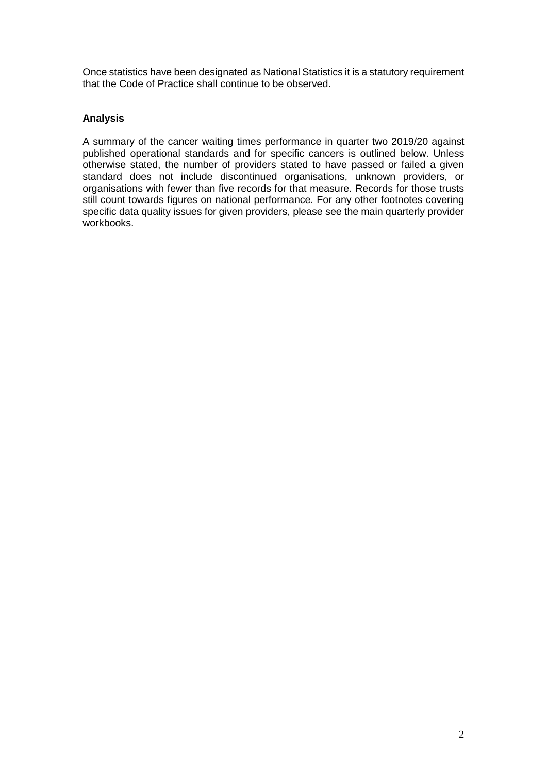Once statistics have been designated as National Statistics it is a statutory requirement that the Code of Practice shall continue to be observed.

# **Analysis**

A summary of the cancer waiting times performance in quarter two 2019/20 against published operational standards and for specific cancers is outlined below. Unless otherwise stated, the number of providers stated to have passed or failed a given standard does not include discontinued organisations, unknown providers, or organisations with fewer than five records for that measure. Records for those trusts still count towards figures on national performance. For any other footnotes covering specific data quality issues for given providers, please see the main quarterly provider workbooks.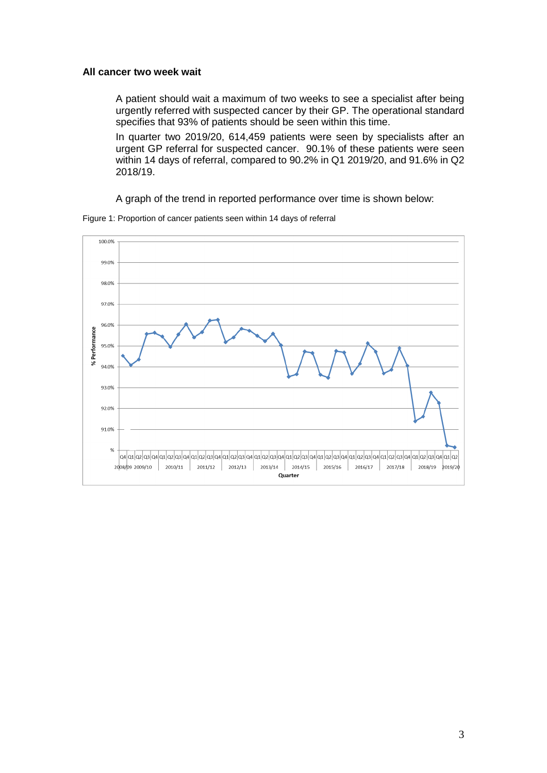### **All cancer two week wait**

A patient should wait a maximum of two weeks to see a specialist after being urgently referred with suspected cancer by their GP. The operational standard specifies that 93% of patients should be seen within this time.

In quarter two 2019/20, 614,459 patients were seen by specialists after an urgent GP referral for suspected cancer. 90.1% of these patients were seen within 14 days of referral, compared to 90.2% in Q1 2019/20, and 91.6% in Q2 2018/19.

A graph of the trend in reported performance over time is shown below:



Figure 1: Proportion of cancer patients seen within 14 days of referral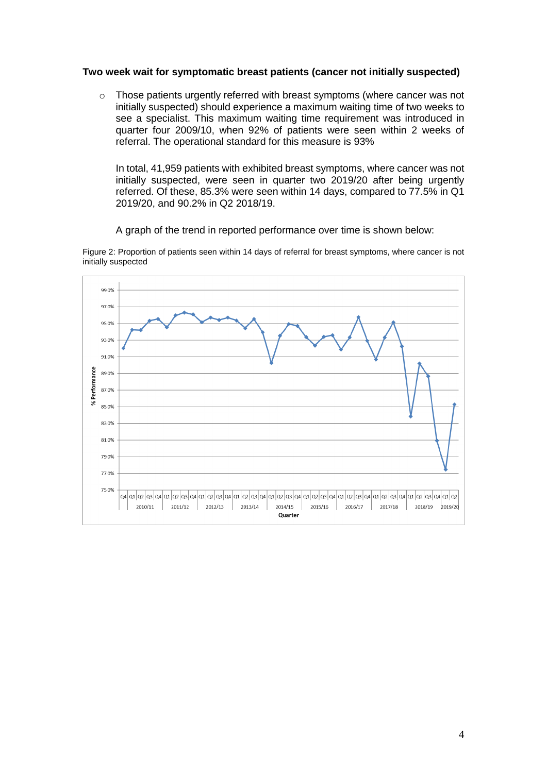### **Two week wait for symptomatic breast patients (cancer not initially suspected)**

o Those patients urgently referred with breast symptoms (where cancer was not initially suspected) should experience a maximum waiting time of two weeks to see a specialist. This maximum waiting time requirement was introduced in quarter four 2009/10, when 92% of patients were seen within 2 weeks of referral. The operational standard for this measure is 93%

In total, 41,959 patients with exhibited breast symptoms, where cancer was not initially suspected, were seen in quarter two 2019/20 after being urgently referred. Of these, 85.3% were seen within 14 days, compared to 77.5% in Q1 2019/20, and 90.2% in Q2 2018/19.

A graph of the trend in reported performance over time is shown below:

Figure 2: Proportion of patients seen within 14 days of referral for breast symptoms, where cancer is not initially suspected

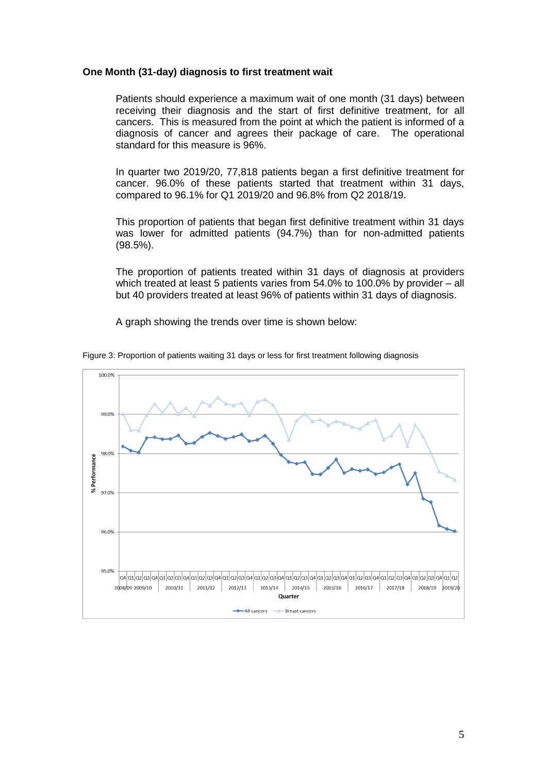### **One Month (31-day) diagnosis to first treatment wait**

Patients should experience a maximum wait of one month (31 days) between receiving their diagnosis and the start of first definitive treatment, for all cancers. This is measured from the point at which the patient is informed of a diagnosis of cancer and agrees their package of care. The operational standard for this measure is 96%.

In quarter two 2019/20, 77,818 patients began a first definitive treatment for cancer. 96.0% of these patients started that treatment within 31 days, compared to 96.1% for Q1 2019/20 and 96.8% from Q2 2018/19.

This proportion of patients that began first definitive treatment within 31 days was lower for admitted patients (94.7%) than for non-admitted patients (98.5%).

The proportion of patients treated within 31 days of diagnosis at providers which treated at least 5 patients varies from 54.0% to 100.0% by provider – all but 40 providers treated at least 96% of patients within 31 days of diagnosis.

A graph showing the trends over time is shown below:



Figure 3: Proportion of patients waiting 31 days or less for first treatment following diagnosis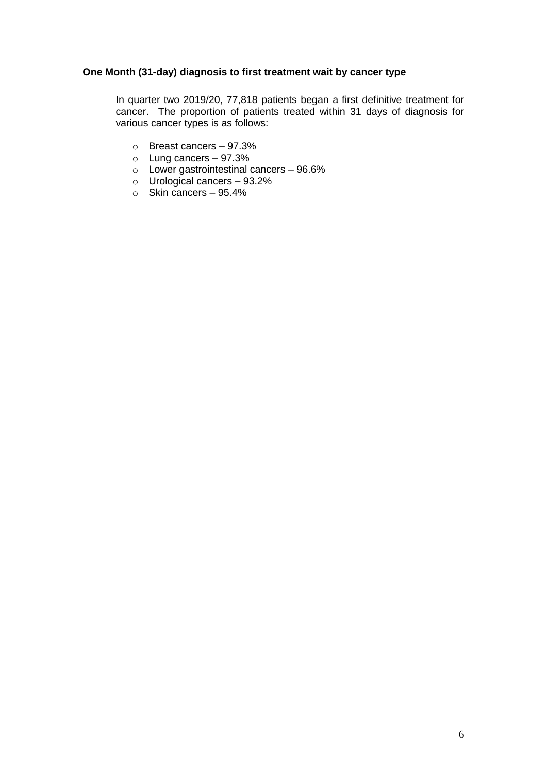## **One Month (31-day) diagnosis to first treatment wait by cancer type**

In quarter two 2019/20, 77,818 patients began a first definitive treatment for cancer. The proportion of patients treated within 31 days of diagnosis for various cancer types is as follows:

- o Breast cancers 97.3%
- o Lung cancers 97.3%
- o Lower gastrointestinal cancers 96.6%
- o Urological cancers 93.2%
- $\circ$  Skin cancers 95.4%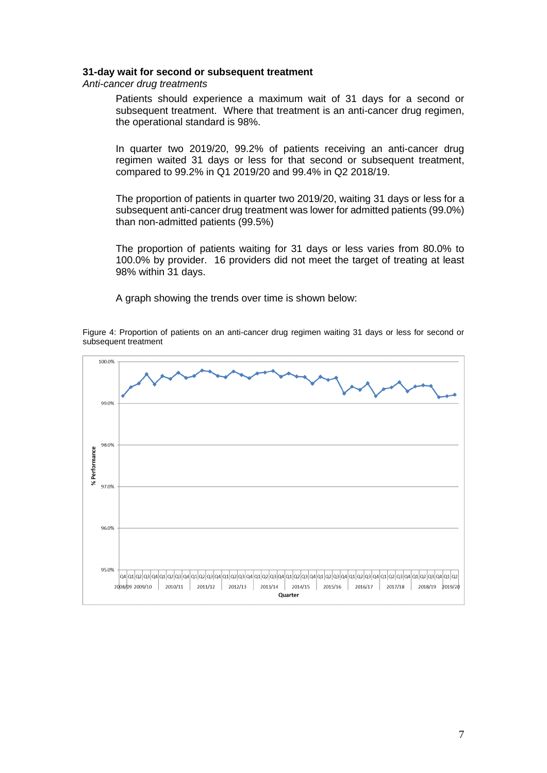#### **31-day wait for second or subsequent treatment**

*Anti-cancer drug treatments*

Patients should experience a maximum wait of 31 days for a second or subsequent treatment. Where that treatment is an anti-cancer drug regimen, the operational standard is 98%.

In quarter two 2019/20, 99.2% of patients receiving an anti-cancer drug regimen waited 31 days or less for that second or subsequent treatment, compared to 99.2% in Q1 2019/20 and 99.4% in Q2 2018/19.

The proportion of patients in quarter two 2019/20, waiting 31 days or less for a subsequent anti-cancer drug treatment was lower for admitted patients (99.0%) than non-admitted patients (99.5%)

The proportion of patients waiting for 31 days or less varies from 80.0% to 100.0% by provider. 16 providers did not meet the target of treating at least 98% within 31 days.

A graph showing the trends over time is shown below:

Figure 4: Proportion of patients on an anti-cancer drug regimen waiting 31 days or less for second or subsequent treatment

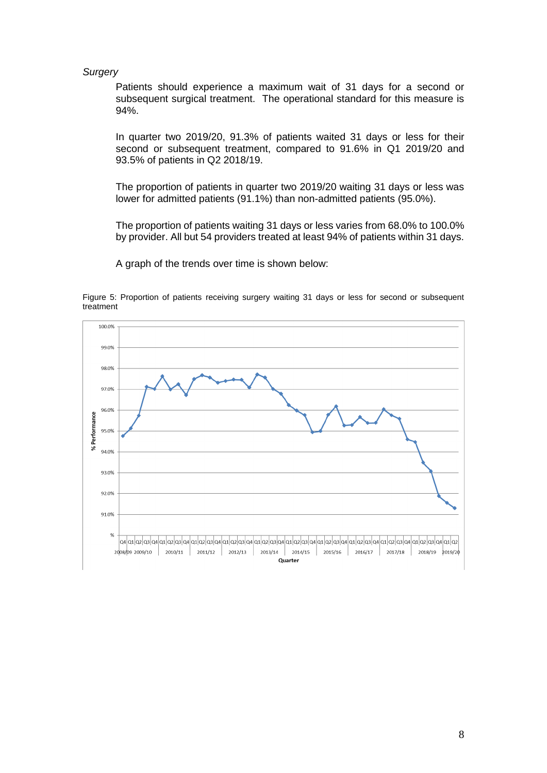#### *Surgery*

Patients should experience a maximum wait of 31 days for a second or subsequent surgical treatment. The operational standard for this measure is 94%.

In quarter two 2019/20, 91.3% of patients waited 31 days or less for their second or subsequent treatment, compared to 91.6% in Q1 2019/20 and 93.5% of patients in Q2 2018/19.

The proportion of patients in quarter two 2019/20 waiting 31 days or less was lower for admitted patients (91.1%) than non-admitted patients (95.0%).

The proportion of patients waiting 31 days or less varies from 68.0% to 100.0% by provider. All but 54 providers treated at least 94% of patients within 31 days.

A graph of the trends over time is shown below:

Figure 5: Proportion of patients receiving surgery waiting 31 days or less for second or subsequent treatment

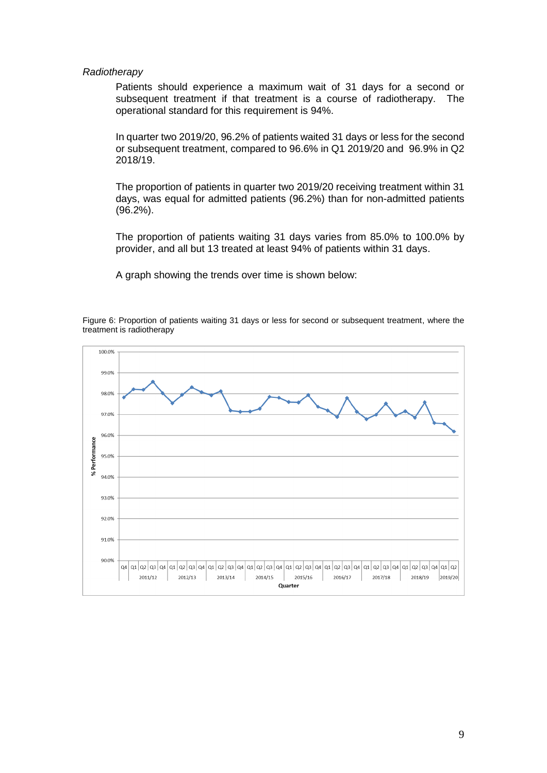#### *Radiotherapy*

Patients should experience a maximum wait of 31 days for a second or subsequent treatment if that treatment is a course of radiotherapy. The operational standard for this requirement is 94%.

In quarter two 2019/20, 96.2% of patients waited 31 days or less for the second or subsequent treatment, compared to 96.6% in Q1 2019/20 and 96.9% in Q2 2018/19.

The proportion of patients in quarter two 2019/20 receiving treatment within 31 days, was equal for admitted patients (96.2%) than for non-admitted patients (96.2%).

The proportion of patients waiting 31 days varies from 85.0% to 100.0% by provider, and all but 13 treated at least 94% of patients within 31 days.

A graph showing the trends over time is shown below:

Figure 6: Proportion of patients waiting 31 days or less for second or subsequent treatment, where the treatment is radiotherapy

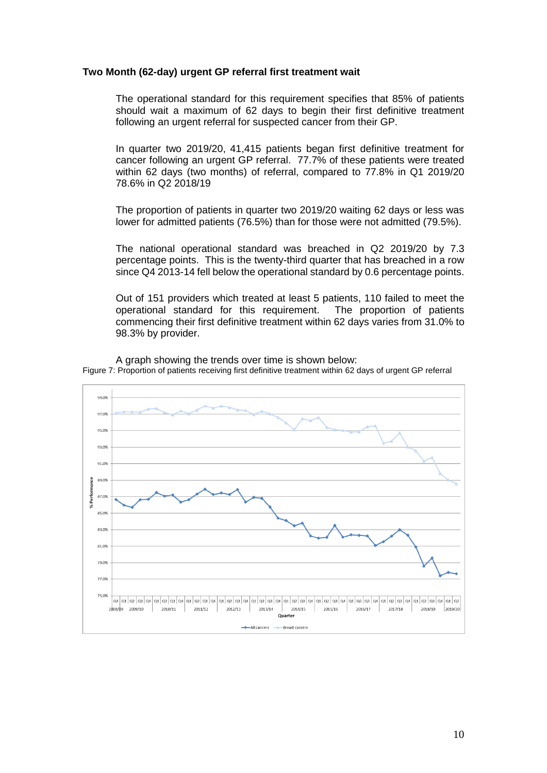### **Two Month (62-day) urgent GP referral first treatment wait**

The operational standard for this requirement specifies that 85% of patients should wait a maximum of 62 days to begin their first definitive treatment following an urgent referral for suspected cancer from their GP.

In quarter two 2019/20, 41,415 patients began first definitive treatment for cancer following an urgent GP referral. 77.7% of these patients were treated within 62 days (two months) of referral, compared to 77.8% in Q1 2019/20 78.6% in Q2 2018/19

The proportion of patients in quarter two 2019/20 waiting 62 days or less was lower for admitted patients (76.5%) than for those were not admitted (79.5%).

The national operational standard was breached in Q2 2019/20 by 7.3 percentage points. This is the twenty-third quarter that has breached in a row since Q4 2013-14 fell below the operational standard by 0.6 percentage points.

Out of 151 providers which treated at least 5 patients, 110 failed to meet the operational standard for this requirement. The proportion of patients commencing their first definitive treatment within 62 days varies from 31.0% to 98.3% by provider.



A graph showing the trends over time is shown below: Figure 7: Proportion of patients receiving first definitive treatment within 62 days of urgent GP referral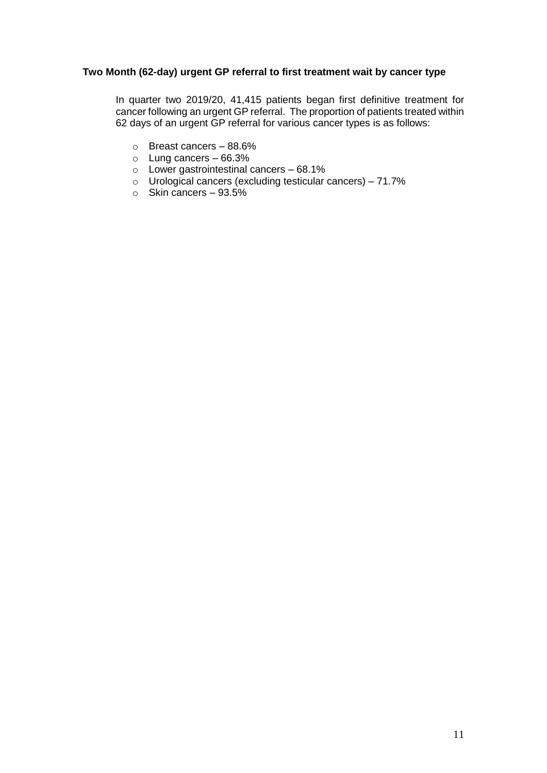## **Two Month (62-day) urgent GP referral to first treatment wait by cancer type**

In quarter two 2019/20, 41,415 patients began first definitive treatment for cancer following an urgent GP referral. The proportion of patients treated within 62 days of an urgent GP referral for various cancer types is as follows:

- o Breast cancers 88.6%
- $\circ$  Lung cancers 66.3%
- o Lower gastrointestinal cancers 68.1%
- $\circ$  Urological cancers (excluding testicular cancers) 71.7%
- $\circ$  Skin cancers 93.5%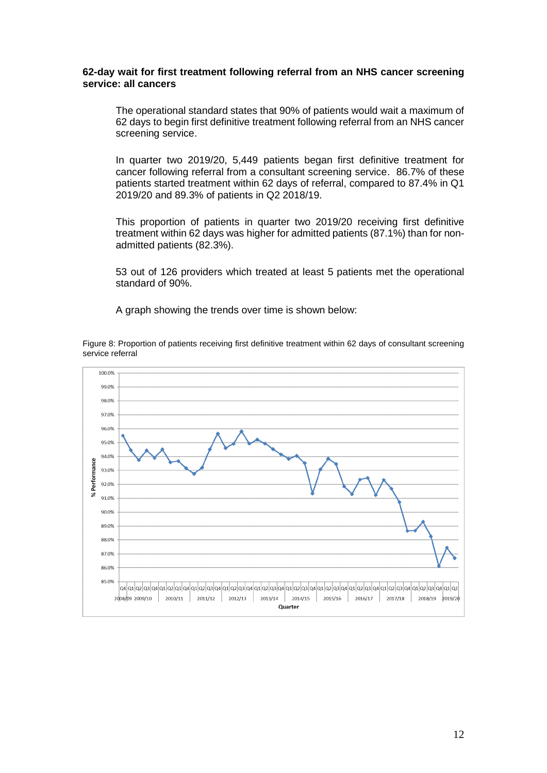### **62-day wait for first treatment following referral from an NHS cancer screening service: all cancers**

The operational standard states that 90% of patients would wait a maximum of 62 days to begin first definitive treatment following referral from an NHS cancer screening service.

In quarter two 2019/20, 5,449 patients began first definitive treatment for cancer following referral from a consultant screening service. 86.7% of these patients started treatment within 62 days of referral, compared to 87.4% in Q1 2019/20 and 89.3% of patients in Q2 2018/19.

This proportion of patients in quarter two 2019/20 receiving first definitive treatment within 62 days was higher for admitted patients (87.1%) than for nonadmitted patients (82.3%).

53 out of 126 providers which treated at least 5 patients met the operational standard of 90%.

A graph showing the trends over time is shown below:

Figure 8: Proportion of patients receiving first definitive treatment within 62 days of consultant screening service referral